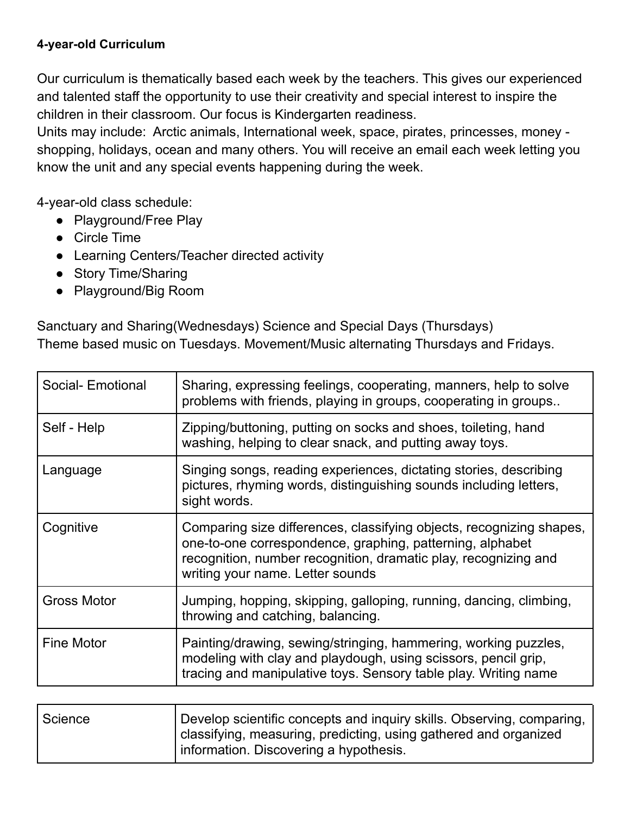## **4-year-old Curriculum**

Our curriculum is thematically based each week by the teachers. This gives our experienced and talented staff the opportunity to use their creativity and special interest to inspire the children in their classroom. Our focus is Kindergarten readiness.

Units may include: Arctic animals, International week, space, pirates, princesses, money shopping, holidays, ocean and many others. You will receive an email each week letting you know the unit and any special events happening during the week.

4-year-old class schedule:

- Playground/Free Play
- Circle Time
- Learning Centers/Teacher directed activity
- Story Time/Sharing
- Playground/Big Room

Sanctuary and Sharing(Wednesdays) Science and Special Days (Thursdays) Theme based music on Tuesdays. Movement/Music alternating Thursdays and Fridays.

| Social- Emotional  | Sharing, expressing feelings, cooperating, manners, help to solve<br>problems with friends, playing in groups, cooperating in groups                                                                                                     |
|--------------------|------------------------------------------------------------------------------------------------------------------------------------------------------------------------------------------------------------------------------------------|
| Self - Help        | Zipping/buttoning, putting on socks and shoes, toileting, hand<br>washing, helping to clear snack, and putting away toys.                                                                                                                |
| Language           | Singing songs, reading experiences, dictating stories, describing<br>pictures, rhyming words, distinguishing sounds including letters,<br>sight words.                                                                                   |
| Cognitive          | Comparing size differences, classifying objects, recognizing shapes,<br>one-to-one correspondence, graphing, patterning, alphabet<br>recognition, number recognition, dramatic play, recognizing and<br>writing your name. Letter sounds |
| <b>Gross Motor</b> | Jumping, hopping, skipping, galloping, running, dancing, climbing,<br>throwing and catching, balancing.                                                                                                                                  |
| <b>Fine Motor</b>  | Painting/drawing, sewing/stringing, hammering, working puzzles,<br>modeling with clay and playdough, using scissors, pencil grip,<br>tracing and manipulative toys. Sensory table play. Writing name                                     |
|                    |                                                                                                                                                                                                                                          |
| Science            | Develop scientific concepts and inquiry skills. Observing, comparing.                                                                                                                                                                    |

| Science | Develop scientific concepts and inquiry skills. Observing, comparing, |
|---------|-----------------------------------------------------------------------|
|         | classifying, measuring, predicting, using gathered and organized      |
|         | Information. Discovering a hypothesis.                                |